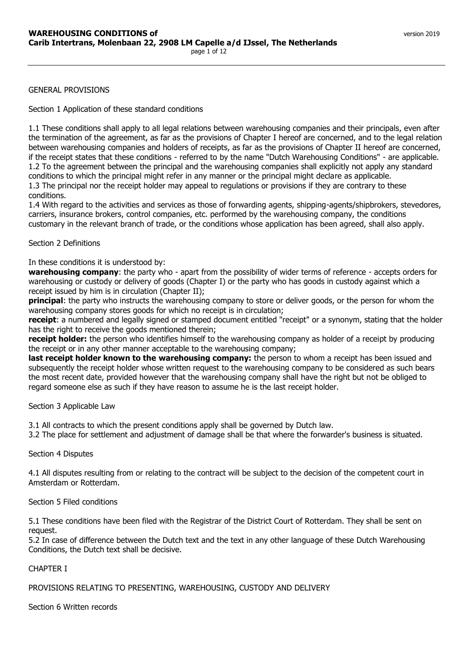### GENERAL PROVISIONS

Section 1 Application of these standard conditions

1.1 These conditions shall apply to all legal relations between warehousing companies and their principals, even after the termination of the agreement, as far as the provisions of Chapter I hereof are concerned, and to the legal relation between warehousing companies and holders of receipts, as far as the provisions of Chapter II hereof are concerned, if the receipt states that these conditions - referred to by the name "Dutch Warehousing Conditions" - are applicable. 1.2 To the agreement between the principal and the warehousing companies shall explicitly not apply any standard conditions to which the principal might refer in any manner or the principal might declare as applicable. 1.3 The principal nor the receipt holder may appeal to regulations or provisions if they are contrary to these conditions.

1.4 With regard to the activities and services as those of forwarding agents, shipping-agents/shipbrokers, stevedores, carriers, insurance brokers, control companies, etc. performed by the warehousing company, the conditions customary in the relevant branch of trade, or the conditions whose application has been agreed, shall also apply.

#### Section 2 Definitions

#### In these conditions it is understood by:

**warehousing company**: the party who - apart from the possibility of wider terms of reference - accepts orders for warehousing or custody or delivery of goods (Chapter I) or the party who has goods in custody against which a receipt issued by him is in circulation (Chapter II);

**principal**: the party who instructs the warehousing company to store or deliver goods, or the person for whom the warehousing company stores goods for which no receipt is in circulation;

**receipt**: a numbered and legally signed or stamped document entitled "receipt" or a synonym, stating that the holder has the right to receive the goods mentioned therein;

**receipt holder:** the person who identifies himself to the warehousing company as holder of a receipt by producing the receipt or in any other manner acceptable to the warehousing company;

**last receipt holder known to the warehousing company:** the person to whom a receipt has been issued and subsequently the receipt holder whose written request to the warehousing company to be considered as such bears the most recent date, provided however that the warehousing company shall have the right but not be obliged to regard someone else as such if they have reason to assume he is the last receipt holder.

# Section 3 Applicable Law

3.1 All contracts to which the present conditions apply shall be governed by Dutch law.

3.2 The place for settlement and adjustment of damage shall be that where the forwarder's business is situated.

#### Section 4 Disputes

4.1 All disputes resulting from or relating to the contract will be subject to the decision of the competent court in Amsterdam or Rotterdam.

### Section 5 Filed conditions

5.1 These conditions have been filed with the Registrar of the District Court of Rotterdam. They shall be sent on request.

5.2 In case of difference between the Dutch text and the text in any other language of these Dutch Warehousing Conditions, the Dutch text shall be decisive.

#### CHAPTER I

# PROVISIONS RELATING TO PRESENTING, WAREHOUSING, CUSTODY AND DELIVERY

Section 6 Written records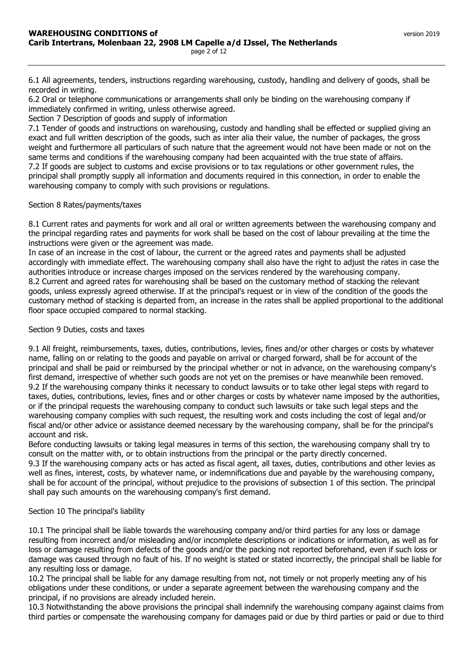6.1 All agreements, tenders, instructions regarding warehousing, custody, handling and delivery of goods, shall be recorded in writing.

6.2 Oral or telephone communications or arrangements shall only be binding on the warehousing company if immediately confirmed in writing, unless otherwise agreed.

Section 7 Description of goods and supply of information

7.1 Tender of goods and instructions on warehousing, custody and handling shall be effected or supplied giving an exact and full written description of the goods, such as inter alia their value, the number of packages, the gross weight and furthermore all particulars of such nature that the agreement would not have been made or not on the same terms and conditions if the warehousing company had been acquainted with the true state of affairs. 7.2 If goods are subject to customs and excise provisions or to tax regulations or other government rules, the principal shall promptly supply all information and documents required in this connection, in order to enable the warehousing company to comply with such provisions or regulations.

# Section 8 Rates/payments/taxes

8.1 Current rates and payments for work and all oral or written agreements between the warehousing company and the principal regarding rates and payments for work shall be based on the cost of labour prevailing at the time the instructions were given or the agreement was made.

In case of an increase in the cost of labour, the current or the agreed rates and payments shall be adjusted accordingly with immediate effect. The warehousing company shall also have the right to adjust the rates in case the authorities introduce or increase charges imposed on the services rendered by the warehousing company. 8.2 Current and agreed rates for warehousing shall be based on the customary method of stacking the relevant goods, unless expressly agreed otherwise. If at the principal's request or in view of the condition of the goods the customary method of stacking is departed from, an increase in the rates shall be applied proportional to the additional floor space occupied compared to normal stacking.

### Section 9 Duties, costs and taxes

9.1 All freight, reimbursements, taxes, duties, contributions, levies, fines and/or other charges or costs by whatever name, falling on or relating to the goods and payable on arrival or charged forward, shall be for account of the principal and shall be paid or reimbursed by the principal whether or not in advance, on the warehousing company's first demand, irrespective of whether such goods are not yet on the premises or have meanwhile been removed. 9.2 If the warehousing company thinks it necessary to conduct lawsuits or to take other legal steps with regard to taxes, duties, contributions, levies, fines and or other charges or costs by whatever name imposed by the authorities, or if the principal requests the warehousing company to conduct such lawsuits or take such legal steps and the warehousing company complies with such request, the resulting work and costs including the cost of legal and/or fiscal and/or other advice or assistance deemed necessary by the warehousing company, shall be for the principal's account and risk.

Before conducting lawsuits or taking legal measures in terms of this section, the warehousing company shall try to consult on the matter with, or to obtain instructions from the principal or the party directly concerned. 9.3 If the warehousing company acts or has acted as fiscal agent, all taxes, duties, contributions and other levies as well as fines, interest, costs, by whatever name, or indemnifications due and payable by the warehousing company, shall be for account of the principal, without prejudice to the provisions of subsection 1 of this section. The principal

# Section 10 The principal's liability

shall pay such amounts on the warehousing company's first demand.

10.1 The principal shall be liable towards the warehousing company and/or third parties for any loss or damage resulting from incorrect and/or misleading and/or incomplete descriptions or indications or information, as well as for loss or damage resulting from defects of the goods and/or the packing not reported beforehand, even if such loss or damage was caused through no fault of his. If no weight is stated or stated incorrectly, the principal shall be liable for any resulting loss or damage.

10.2 The principal shall be liable for any damage resulting from not, not timely or not properly meeting any of his obligations under these conditions, or under a separate agreement between the warehousing company and the principal, if no provisions are already included herein.

10.3 Notwithstanding the above provisions the principal shall indemnify the warehousing company against claims from third parties or compensate the warehousing company for damages paid or due by third parties or paid or due to third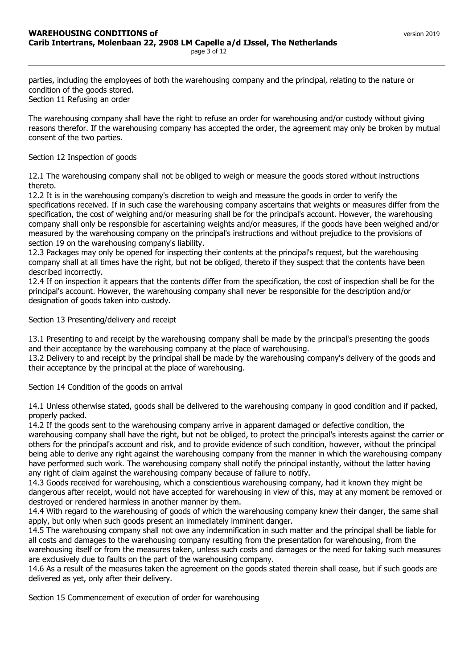parties, including the employees of both the warehousing company and the principal, relating to the nature or condition of the goods stored. Section 11 Refusing an order

The warehousing company shall have the right to refuse an order for warehousing and/or custody without giving reasons therefor. If the warehousing company has accepted the order, the agreement may only be broken by mutual consent of the two parties.

# Section 12 Inspection of goods

12.1 The warehousing company shall not be obliged to weigh or measure the goods stored without instructions thereto.

12.2 It is in the warehousing company's discretion to weigh and measure the goods in order to verify the specifications received. If in such case the warehousing company ascertains that weights or measures differ from the specification, the cost of weighing and/or measuring shall be for the principal's account. However, the warehousing company shall only be responsible for ascertaining weights and/or measures, if the goods have been weighed and/or measured by the warehousing company on the principal's instructions and without prejudice to the provisions of section 19 on the warehousing company's liability.

12.3 Packages may only be opened for inspecting their contents at the principal's request, but the warehousing company shall at all times have the right, but not be obliged, thereto if they suspect that the contents have been described incorrectly.

12.4 If on inspection it appears that the contents differ from the specification, the cost of inspection shall be for the principal's account. However, the warehousing company shall never be responsible for the description and/or designation of goods taken into custody.

Section 13 Presenting/delivery and receipt

13.1 Presenting to and receipt by the warehousing company shall be made by the principal's presenting the goods and their acceptance by the warehousing company at the place of warehousing.

13.2 Delivery to and receipt by the principal shall be made by the warehousing company's delivery of the goods and their acceptance by the principal at the place of warehousing.

Section 14 Condition of the goods on arrival

14.1 Unless otherwise stated, goods shall be delivered to the warehousing company in good condition and if packed, properly packed.

14.2 If the goods sent to the warehousing company arrive in apparent damaged or defective condition, the warehousing company shall have the right, but not be obliged, to protect the principal's interests against the carrier or others for the principal's account and risk, and to provide evidence of such condition, however, without the principal being able to derive any right against the warehousing company from the manner in which the warehousing company have performed such work. The warehousing company shall notify the principal instantly, without the latter having any right of claim against the warehousing company because of failure to notify.

14.3 Goods received for warehousing, which a conscientious warehousing company, had it known they might be dangerous after receipt, would not have accepted for warehousing in view of this, may at any moment be removed or destroyed or rendered harmless in another manner by them.

14.4 With regard to the warehousing of goods of which the warehousing company knew their danger, the same shall apply, but only when such goods present an immediately imminent danger.

14.5 The warehousing company shall not owe any indemnification in such matter and the principal shall be liable for all costs and damages to the warehousing company resulting from the presentation for warehousing, from the warehousing itself or from the measures taken, unless such costs and damages or the need for taking such measures are exclusively due to faults on the part of the warehousing company.

14.6 As a result of the measures taken the agreement on the goods stated therein shall cease, but if such goods are delivered as yet, only after their delivery.

Section 15 Commencement of execution of order for warehousing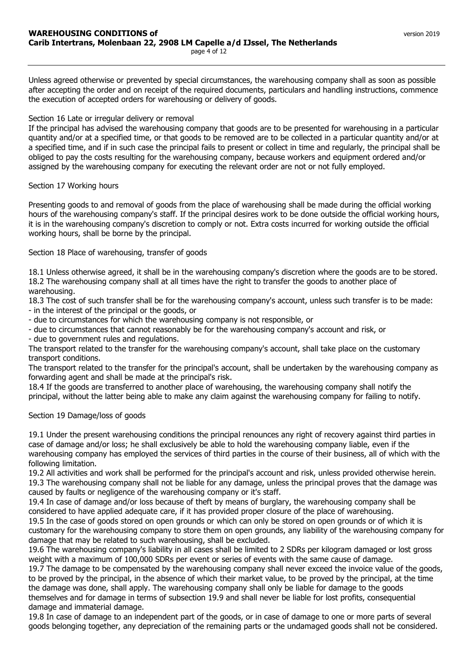Unless agreed otherwise or prevented by special circumstances, the warehousing company shall as soon as possible after accepting the order and on receipt of the required documents, particulars and handling instructions, commence the execution of accepted orders for warehousing or delivery of goods.

# Section 16 Late or irregular delivery or removal

If the principal has advised the warehousing company that goods are to be presented for warehousing in a particular quantity and/or at a specified time, or that goods to be removed are to be collected in a particular quantity and/or at a specified time, and if in such case the principal fails to present or collect in time and regularly, the principal shall be obliged to pay the costs resulting for the warehousing company, because workers and equipment ordered and/or assigned by the warehousing company for executing the relevant order are not or not fully employed.

#### Section 17 Working hours

Presenting goods to and removal of goods from the place of warehousing shall be made during the official working hours of the warehousing company's staff. If the principal desires work to be done outside the official working hours, it is in the warehousing company's discretion to comply or not. Extra costs incurred for working outside the official working hours, shall be borne by the principal.

Section 18 Place of warehousing, transfer of goods

18.1 Unless otherwise agreed, it shall be in the warehousing company's discretion where the goods are to be stored. 18.2 The warehousing company shall at all times have the right to transfer the goods to another place of warehousing.

18.3 The cost of such transfer shall be for the warehousing company's account, unless such transfer is to be made: - in the interest of the principal or the goods, or

- due to circumstances for which the warehousing company is not responsible, or

- due to circumstances that cannot reasonably be for the warehousing company's account and risk, or

- due to government rules and regulations.

The transport related to the transfer for the warehousing company's account, shall take place on the customary transport conditions.

The transport related to the transfer for the principal's account, shall be undertaken by the warehousing company as forwarding agent and shall be made at the principal's risk.

18.4 If the goods are transferred to another place of warehousing, the warehousing company shall notify the principal, without the latter being able to make any claim against the warehousing company for failing to notify.

Section 19 Damage/loss of goods

19.1 Under the present warehousing conditions the principal renounces any right of recovery against third parties in case of damage and/or loss; he shall exclusively be able to hold the warehousing company liable, even if the warehousing company has employed the services of third parties in the course of their business, all of which with the following limitation.

19.2 All activities and work shall be performed for the principal's account and risk, unless provided otherwise herein. 19.3 The warehousing company shall not be liable for any damage, unless the principal proves that the damage was caused by faults or negligence of the warehousing company or it's staff.

19.4 In case of damage and/or loss because of theft by means of burglary, the warehousing company shall be considered to have applied adequate care, if it has provided proper closure of the place of warehousing.

19.5 In the case of goods stored on open grounds or which can only be stored on open grounds or of which it is customary for the warehousing company to store them on open grounds, any liability of the warehousing company for damage that may be related to such warehousing, shall be excluded.

19.6 The warehousing company's liability in all cases shall be limited to 2 SDRs per kilogram damaged or lost gross weight with a maximum of 100,000 SDRs per event or series of events with the same cause of damage.

19.7 The damage to be compensated by the warehousing company shall never exceed the invoice value of the goods, to be proved by the principal, in the absence of which their market value, to be proved by the principal, at the time the damage was done, shall apply. The warehousing company shall only be liable for damage to the goods themselves and for damage in terms of subsection 19.9 and shall never be liable for lost profits, consequential damage and immaterial damage.

19.8 In case of damage to an independent part of the goods, or in case of damage to one or more parts of several goods belonging together, any depreciation of the remaining parts or the undamaged goods shall not be considered.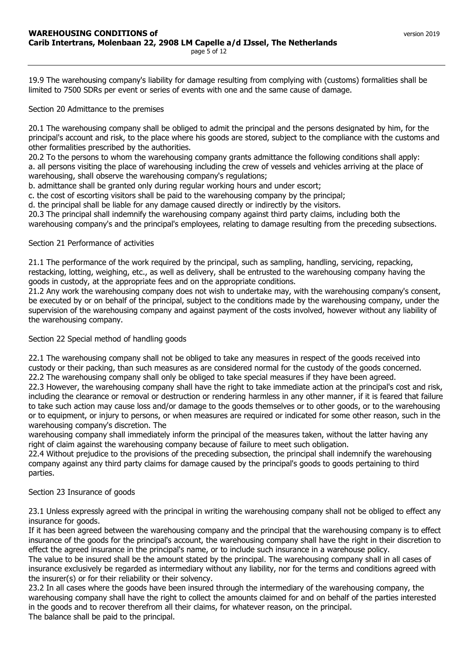19.9 The warehousing company's liability for damage resulting from complying with (customs) formalities shall be limited to 7500 SDRs per event or series of events with one and the same cause of damage.

Section 20 Admittance to the premises

20.1 The warehousing company shall be obliged to admit the principal and the persons designated by him, for the principal's account and risk, to the place where his goods are stored, subject to the compliance with the customs and other formalities prescribed by the authorities.

20.2 To the persons to whom the warehousing company grants admittance the following conditions shall apply: a. all persons visiting the place of warehousing including the crew of vessels and vehicles arriving at the place of warehousing, shall observe the warehousing company's regulations;

b. admittance shall be granted only during regular working hours and under escort;

c. the cost of escorting visitors shall be paid to the warehousing company by the principal;

d. the principal shall be liable for any damage caused directly or indirectly by the visitors.

20.3 The principal shall indemnify the warehousing company against third party claims, including both the warehousing company's and the principal's employees, relating to damage resulting from the preceding subsections.

# Section 21 Performance of activities

21.1 The performance of the work required by the principal, such as sampling, handling, servicing, repacking, restacking, lotting, weighing, etc., as well as delivery, shall be entrusted to the warehousing company having the goods in custody, at the appropriate fees and on the appropriate conditions.

21.2 Any work the warehousing company does not wish to undertake may, with the warehousing company's consent, be executed by or on behalf of the principal, subject to the conditions made by the warehousing company, under the supervision of the warehousing company and against payment of the costs involved, however without any liability of the warehousing company.

Section 22 Special method of handling goods

22.1 The warehousing company shall not be obliged to take any measures in respect of the goods received into custody or their packing, than such measures as are considered normal for the custody of the goods concerned. 22.2 The warehousing company shall only be obliged to take special measures if they have been agreed.

22.3 However, the warehousing company shall have the right to take immediate action at the principal's cost and risk, including the clearance or removal or destruction or rendering harmless in any other manner, if it is feared that failure to take such action may cause loss and/or damage to the goods themselves or to other goods, or to the warehousing or to equipment, or injury to persons, or when measures are required or indicated for some other reason, such in the warehousing company's discretion. The

warehousing company shall immediately inform the principal of the measures taken, without the latter having any right of claim against the warehousing company because of failure to meet such obligation.

22.4 Without prejudice to the provisions of the preceding subsection, the principal shall indemnify the warehousing company against any third party claims for damage caused by the principal's goods to goods pertaining to third parties.

# Section 23 Insurance of goods

23.1 Unless expressly agreed with the principal in writing the warehousing company shall not be obliged to effect any insurance for goods.

If it has been agreed between the warehousing company and the principal that the warehousing company is to effect insurance of the goods for the principal's account, the warehousing company shall have the right in their discretion to effect the agreed insurance in the principal's name, or to include such insurance in a warehouse policy.

The value to be insured shall be the amount stated by the principal. The warehousing company shall in all cases of insurance exclusively be regarded as intermediary without any liability, nor for the terms and conditions agreed with the insurer(s) or for their reliability or their solvency.

23.2 In all cases where the goods have been insured through the intermediary of the warehousing company, the warehousing company shall have the right to collect the amounts claimed for and on behalf of the parties interested in the goods and to recover therefrom all their claims, for whatever reason, on the principal. The balance shall be paid to the principal.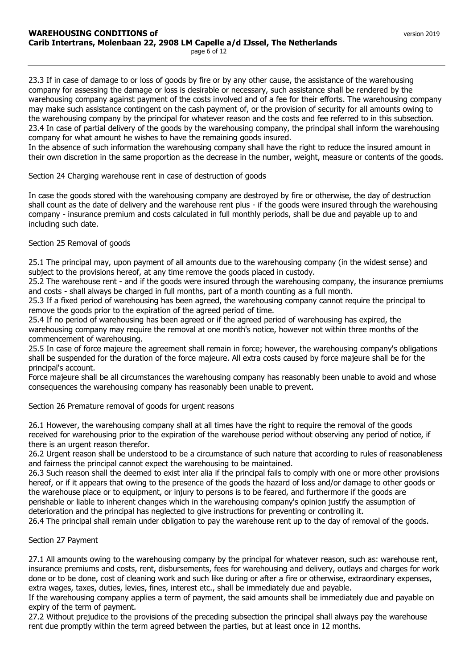23.3 If in case of damage to or loss of goods by fire or by any other cause, the assistance of the warehousing company for assessing the damage or loss is desirable or necessary, such assistance shall be rendered by the warehousing company against payment of the costs involved and of a fee for their efforts. The warehousing company may make such assistance contingent on the cash payment of, or the provision of security for all amounts owing to the warehousing company by the principal for whatever reason and the costs and fee referred to in this subsection. 23.4 In case of partial delivery of the goods by the warehousing company, the principal shall inform the warehousing company for what amount he wishes to have the remaining goods insured.

In the absence of such information the warehousing company shall have the right to reduce the insured amount in their own discretion in the same proportion as the decrease in the number, weight, measure or contents of the goods.

Section 24 Charging warehouse rent in case of destruction of goods

In case the goods stored with the warehousing company are destroyed by fire or otherwise, the day of destruction shall count as the date of delivery and the warehouse rent plus - if the goods were insured through the warehousing company - insurance premium and costs calculated in full monthly periods, shall be due and payable up to and including such date.

#### Section 25 Removal of goods

25.1 The principal may, upon payment of all amounts due to the warehousing company (in the widest sense) and subject to the provisions hereof, at any time remove the goods placed in custody.

25.2 The warehouse rent - and if the goods were insured through the warehousing company, the insurance premiums and costs - shall always be charged in full months, part of a month counting as a full month.

25.3 If a fixed period of warehousing has been agreed, the warehousing company cannot require the principal to remove the goods prior to the expiration of the agreed period of time.

25.4 If no period of warehousing has been agreed or if the agreed period of warehousing has expired, the warehousing company may require the removal at one month's notice, however not within three months of the commencement of warehousing.

25.5 In case of force majeure the agreement shall remain in force; however, the warehousing company's obligations shall be suspended for the duration of the force majeure. All extra costs caused by force majeure shall be for the principal's account.

Force majeure shall be all circumstances the warehousing company has reasonably been unable to avoid and whose consequences the warehousing company has reasonably been unable to prevent.

Section 26 Premature removal of goods for urgent reasons

26.1 However, the warehousing company shall at all times have the right to require the removal of the goods received for warehousing prior to the expiration of the warehouse period without observing any period of notice, if there is an urgent reason therefor.

26.2 Urgent reason shall be understood to be a circumstance of such nature that according to rules of reasonableness and fairness the principal cannot expect the warehousing to be maintained.

26.3 Such reason shall the deemed to exist inter alia if the principal fails to comply with one or more other provisions hereof, or if it appears that owing to the presence of the goods the hazard of loss and/or damage to other goods or the warehouse place or to equipment, or injury to persons is to be feared, and furthermore if the goods are perishable or liable to inherent changes which in the warehousing company's opinion justify the assumption of deterioration and the principal has neglected to give instructions for preventing or controlling it.

26.4 The principal shall remain under obligation to pay the warehouse rent up to the day of removal of the goods.

Section 27 Payment

27.1 All amounts owing to the warehousing company by the principal for whatever reason, such as: warehouse rent, insurance premiums and costs, rent, disbursements, fees for warehousing and delivery, outlays and charges for work done or to be done, cost of cleaning work and such like during or after a fire or otherwise, extraordinary expenses, extra wages, taxes, duties, levies, fines, interest etc., shall be immediately due and payable.

If the warehousing company applies a term of payment, the said amounts shall be immediately due and payable on expiry of the term of payment.

27.2 Without prejudice to the provisions of the preceding subsection the principal shall always pay the warehouse rent due promptly within the term agreed between the parties, but at least once in 12 months.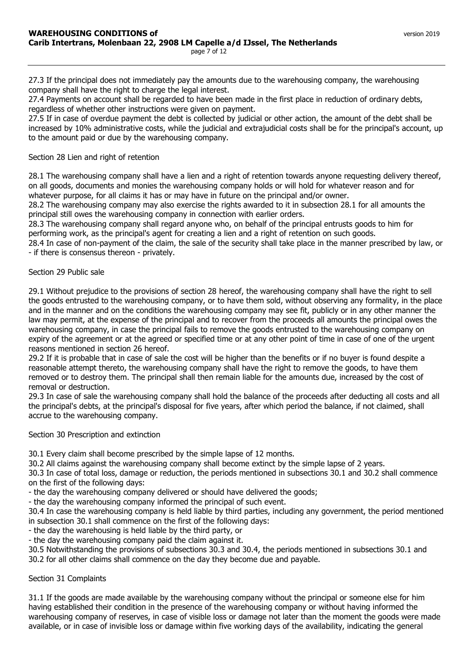27.3 If the principal does not immediately pay the amounts due to the warehousing company, the warehousing company shall have the right to charge the legal interest.

27.4 Payments on account shall be regarded to have been made in the first place in reduction of ordinary debts, regardless of whether other instructions were given on payment.

27.5 If in case of overdue payment the debt is collected by judicial or other action, the amount of the debt shall be increased by 10% administrative costs, while the judicial and extrajudicial costs shall be for the principal's account, up to the amount paid or due by the warehousing company.

#### Section 28 Lien and right of retention

28.1 The warehousing company shall have a lien and a right of retention towards anyone requesting delivery thereof, on all goods, documents and monies the warehousing company holds or will hold for whatever reason and for whatever purpose, for all claims it has or may have in future on the principal and/or owner.

28.2 The warehousing company may also exercise the rights awarded to it in subsection 28.1 for all amounts the principal still owes the warehousing company in connection with earlier orders.

28.3 The warehousing company shall regard anyone who, on behalf of the principal entrusts goods to him for performing work, as the principal's agent for creating a lien and a right of retention on such goods.

28.4 In case of non-payment of the claim, the sale of the security shall take place in the manner prescribed by law, or - if there is consensus thereon - privately.

#### Section 29 Public sale

29.1 Without prejudice to the provisions of section 28 hereof, the warehousing company shall have the right to sell the goods entrusted to the warehousing company, or to have them sold, without observing any formality, in the place and in the manner and on the conditions the warehousing company may see fit, publicly or in any other manner the law may permit, at the expense of the principal and to recover from the proceeds all amounts the principal owes the warehousing company, in case the principal fails to remove the goods entrusted to the warehousing company on expiry of the agreement or at the agreed or specified time or at any other point of time in case of one of the urgent reasons mentioned in section 26 hereof.

29.2 If it is probable that in case of sale the cost will be higher than the benefits or if no buyer is found despite a reasonable attempt thereto, the warehousing company shall have the right to remove the goods, to have them removed or to destroy them. The principal shall then remain liable for the amounts due, increased by the cost of removal or destruction.

29.3 In case of sale the warehousing company shall hold the balance of the proceeds after deducting all costs and all the principal's debts, at the principal's disposal for five years, after which period the balance, if not claimed, shall accrue to the warehousing company.

Section 30 Prescription and extinction

30.1 Every claim shall become prescribed by the simple lapse of 12 months.

30.2 All claims against the warehousing company shall become extinct by the simple lapse of 2 years.

30.3 In case of total loss, damage or reduction, the periods mentioned in subsections 30.1 and 30.2 shall commence on the first of the following days:

- the day the warehousing company delivered or should have delivered the goods;

- the day the warehousing company informed the principal of such event.

30.4 In case the warehousing company is held liable by third parties, including any government, the period mentioned in subsection 30.1 shall commence on the first of the following days:

- the day the warehousing is held liable by the third party, or

- the day the warehousing company paid the claim against it.

30.5 Notwithstanding the provisions of subsections 30.3 and 30.4, the periods mentioned in subsections 30.1 and 30.2 for all other claims shall commence on the day they become due and payable.

#### Section 31 Complaints

31.1 If the goods are made available by the warehousing company without the principal or someone else for him having established their condition in the presence of the warehousing company or without having informed the warehousing company of reserves, in case of visible loss or damage not later than the moment the goods were made available, or in case of invisible loss or damage within five working days of the availability, indicating the general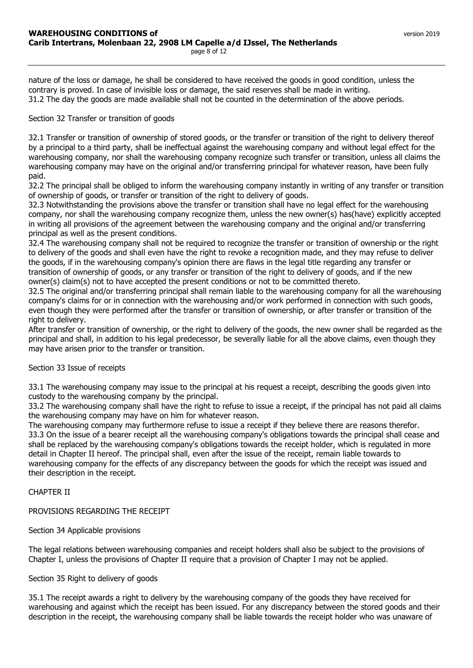nature of the loss or damage, he shall be considered to have received the goods in good condition, unless the contrary is proved. In case of invisible loss or damage, the said reserves shall be made in writing. 31.2 The day the goods are made available shall not be counted in the determination of the above periods.

# Section 32 Transfer or transition of goods

32.1 Transfer or transition of ownership of stored goods, or the transfer or transition of the right to delivery thereof by a principal to a third party, shall be ineffectual against the warehousing company and without legal effect for the warehousing company, nor shall the warehousing company recognize such transfer or transition, unless all claims the warehousing company may have on the original and/or transferring principal for whatever reason, have been fully paid.

32.2 The principal shall be obliged to inform the warehousing company instantly in writing of any transfer or transition of ownership of goods, or transfer or transition of the right to delivery of goods.

32.3 Notwithstanding the provisions above the transfer or transition shall have no legal effect for the warehousing company, nor shall the warehousing company recognize them, unless the new owner(s) has(have) explicitly accepted in writing all provisions of the agreement between the warehousing company and the original and/or transferring principal as well as the present conditions.

32.4 The warehousing company shall not be required to recognize the transfer or transition of ownership or the right to delivery of the goods and shall even have the right to revoke a recognition made, and they may refuse to deliver the goods, if in the warehousing company's opinion there are flaws in the legal title regarding any transfer or transition of ownership of goods, or any transfer or transition of the right to delivery of goods, and if the new owner(s) claim(s) not to have accepted the present conditions or not to be committed thereto.

32.5 The original and/or transferring principal shall remain liable to the warehousing company for all the warehousing company's claims for or in connection with the warehousing and/or work performed in connection with such goods, even though they were performed after the transfer or transition of ownership, or after transfer or transition of the right to delivery.

After transfer or transition of ownership, or the right to delivery of the goods, the new owner shall be regarded as the principal and shall, in addition to his legal predecessor, be severally liable for all the above claims, even though they may have arisen prior to the transfer or transition.

# Section 33 Issue of receipts

33.1 The warehousing company may issue to the principal at his request a receipt, describing the goods given into custody to the warehousing company by the principal.

33.2 The warehousing company shall have the right to refuse to issue a receipt, if the principal has not paid all claims the warehousing company may have on him for whatever reason.

The warehousing company may furthermore refuse to issue a receipt if they believe there are reasons therefor. 33.3 On the issue of a bearer receipt all the warehousing company's obligations towards the principal shall cease and shall be replaced by the warehousing company's obligations towards the receipt holder, which is regulated in more detail in Chapter II hereof. The principal shall, even after the issue of the receipt, remain liable towards to warehousing company for the effects of any discrepancy between the goods for which the receipt was issued and their description in the receipt.

# CHAPTER II

PROVISIONS REGARDING THE RECEIPT

# Section 34 Applicable provisions

The legal relations between warehousing companies and receipt holders shall also be subject to the provisions of Chapter I, unless the provisions of Chapter II require that a provision of Chapter I may not be applied.

# Section 35 Right to delivery of goods

35.1 The receipt awards a right to delivery by the warehousing company of the goods they have received for warehousing and against which the receipt has been issued. For any discrepancy between the stored goods and their description in the receipt, the warehousing company shall be liable towards the receipt holder who was unaware of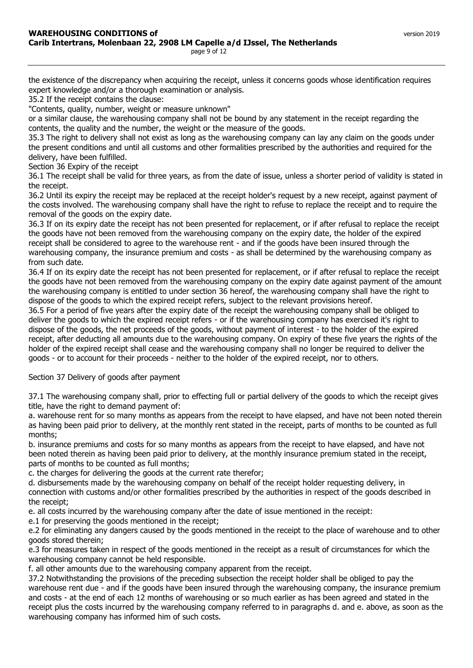the existence of the discrepancy when acquiring the receipt, unless it concerns goods whose identification requires expert knowledge and/or a thorough examination or analysis.

35.2 If the receipt contains the clause:

"Contents, quality, number, weight or measure unknown"

or a similar clause, the warehousing company shall not be bound by any statement in the receipt regarding the contents, the quality and the number, the weight or the measure of the goods.

35.3 The right to delivery shall not exist as long as the warehousing company can lay any claim on the goods under the present conditions and until all customs and other formalities prescribed by the authorities and required for the delivery, have been fulfilled.

Section 36 Expiry of the receipt

36.1 The receipt shall be valid for three years, as from the date of issue, unless a shorter period of validity is stated in the receipt.

36.2 Until its expiry the receipt may be replaced at the receipt holder's request by a new receipt, against payment of the costs involved. The warehousing company shall have the right to refuse to replace the receipt and to require the removal of the goods on the expiry date.

36.3 If on its expiry date the receipt has not been presented for replacement, or if after refusal to replace the receipt the goods have not been removed from the warehousing company on the expiry date, the holder of the expired receipt shall be considered to agree to the warehouse rent - and if the goods have been insured through the warehousing company, the insurance premium and costs - as shall be determined by the warehousing company as from such date.

36.4 If on its expiry date the receipt has not been presented for replacement, or if after refusal to replace the receipt the goods have not been removed from the warehousing company on the expiry date against payment of the amount the warehousing company is entitled to under section 36 hereof, the warehousing company shall have the right to dispose of the goods to which the expired receipt refers, subject to the relevant provisions hereof.

36.5 For a period of five years after the expiry date of the receipt the warehousing company shall be obliged to deliver the goods to which the expired receipt refers - or if the warehousing company has exercised it's right to dispose of the goods, the net proceeds of the goods, without payment of interest - to the holder of the expired receipt, after deducting all amounts due to the warehousing company. On expiry of these five years the rights of the holder of the expired receipt shall cease and the warehousing company shall no longer be required to deliver the goods - or to account for their proceeds - neither to the holder of the expired receipt, nor to others.

Section 37 Delivery of goods after payment

37.1 The warehousing company shall, prior to effecting full or partial delivery of the goods to which the receipt gives title, have the right to demand payment of:

a. warehouse rent for so many months as appears from the receipt to have elapsed, and have not been noted therein as having been paid prior to delivery, at the monthly rent stated in the receipt, parts of months to be counted as full months;

b. insurance premiums and costs for so many months as appears from the receipt to have elapsed, and have not been noted therein as having been paid prior to delivery, at the monthly insurance premium stated in the receipt, parts of months to be counted as full months;

c. the charges for delivering the goods at the current rate therefor;

d. disbursements made by the warehousing company on behalf of the receipt holder requesting delivery, in connection with customs and/or other formalities prescribed by the authorities in respect of the goods described in the receipt;

e. all costs incurred by the warehousing company after the date of issue mentioned in the receipt:

e.1 for preserving the goods mentioned in the receipt;

e.2 for eliminating any dangers caused by the goods mentioned in the receipt to the place of warehouse and to other goods stored therein;

e.3 for measures taken in respect of the goods mentioned in the receipt as a result of circumstances for which the warehousing company cannot be held responsible.

f. all other amounts due to the warehousing company apparent from the receipt.

37.2 Notwithstanding the provisions of the preceding subsection the receipt holder shall be obliged to pay the warehouse rent due - and if the goods have been insured through the warehousing company, the insurance premium and costs - at the end of each 12 months of warehousing or so much earlier as has been agreed and stated in the receipt plus the costs incurred by the warehousing company referred to in paragraphs d. and e. above, as soon as the warehousing company has informed him of such costs.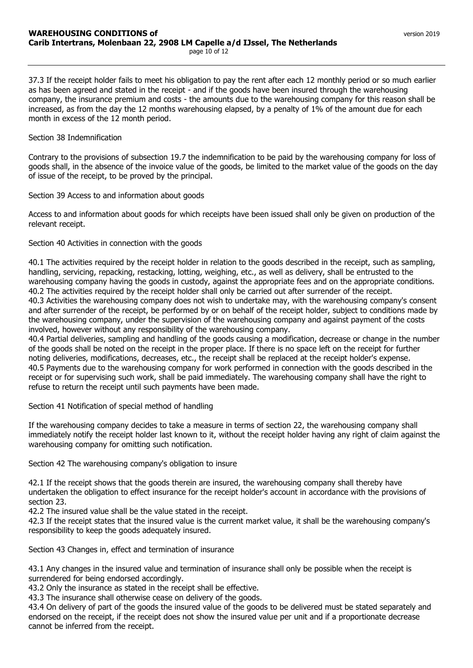as has been agreed and stated in the receipt - and if the goods have been insured through the warehousing company, the insurance premium and costs - the amounts due to the warehousing company for this reason shall be increased, as from the day the 12 months warehousing elapsed, by a penalty of 1% of the amount due for each month in excess of the 12 month period.

# Section 38 Indemnification

Contrary to the provisions of subsection 19.7 the indemnification to be paid by the warehousing company for loss of goods shall, in the absence of the invoice value of the goods, be limited to the market value of the goods on the day of issue of the receipt, to be proved by the principal.

Section 39 Access to and information about goods

Access to and information about goods for which receipts have been issued shall only be given on production of the relevant receipt.

# Section 40 Activities in connection with the goods

40.1 The activities required by the receipt holder in relation to the goods described in the receipt, such as sampling, handling, servicing, repacking, restacking, lotting, weighing, etc., as well as delivery, shall be entrusted to the warehousing company having the goods in custody, against the appropriate fees and on the appropriate conditions. 40.2 The activities required by the receipt holder shall only be carried out after surrender of the receipt. 40.3 Activities the warehousing company does not wish to undertake may, with the warehousing company's consent and after surrender of the receipt, be performed by or on behalf of the receipt holder, subject to conditions made by the warehousing company, under the supervision of the warehousing company and against payment of the costs involved, however without any responsibility of the warehousing company.

40.4 Partial deliveries, sampling and handling of the goods causing a modification, decrease or change in the number of the goods shall be noted on the receipt in the proper place. If there is no space left on the receipt for further noting deliveries, modifications, decreases, etc., the receipt shall be replaced at the receipt holder's expense. 40.5 Payments due to the warehousing company for work performed in connection with the goods described in the receipt or for supervising such work, shall be paid immediately. The warehousing company shall have the right to refuse to return the receipt until such payments have been made.

Section 41 Notification of special method of handling

If the warehousing company decides to take a measure in terms of section 22, the warehousing company shall immediately notify the receipt holder last known to it, without the receipt holder having any right of claim against the warehousing company for omitting such notification.

Section 42 The warehousing company's obligation to insure

42.1 If the receipt shows that the goods therein are insured, the warehousing company shall thereby have undertaken the obligation to effect insurance for the receipt holder's account in accordance with the provisions of section 23.

42.2 The insured value shall be the value stated in the receipt.

42.3 If the receipt states that the insured value is the current market value, it shall be the warehousing company's responsibility to keep the goods adequately insured.

Section 43 Changes in, effect and termination of insurance

43.1 Any changes in the insured value and termination of insurance shall only be possible when the receipt is surrendered for being endorsed accordingly.

43.2 Only the insurance as stated in the receipt shall be effective.

43.3 The insurance shall otherwise cease on delivery of the goods.

43.4 On delivery of part of the goods the insured value of the goods to be delivered must be stated separately and endorsed on the receipt, if the receipt does not show the insured value per unit and if a proportionate decrease cannot be inferred from the receipt.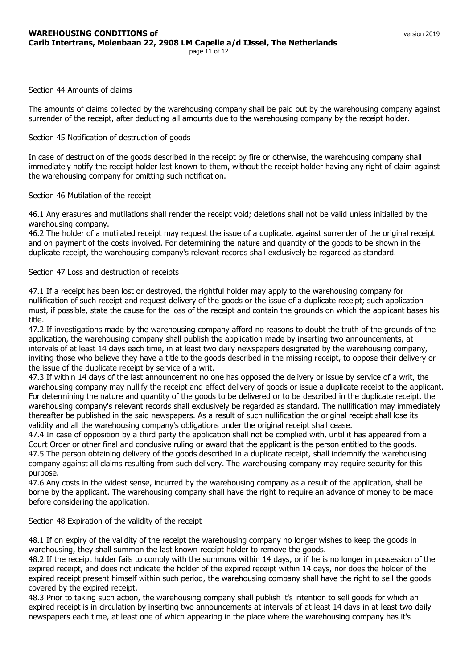#### Section 44 Amounts of claims

The amounts of claims collected by the warehousing company shall be paid out by the warehousing company against surrender of the receipt, after deducting all amounts due to the warehousing company by the receipt holder.

### Section 45 Notification of destruction of goods

In case of destruction of the goods described in the receipt by fire or otherwise, the warehousing company shall immediately notify the receipt holder last known to them, without the receipt holder having any right of claim against the warehousing company for omitting such notification.

Section 46 Mutilation of the receipt

46.1 Any erasures and mutilations shall render the receipt void; deletions shall not be valid unless initialled by the warehousing company.

46.2 The holder of a mutilated receipt may request the issue of a duplicate, against surrender of the original receipt and on payment of the costs involved. For determining the nature and quantity of the goods to be shown in the duplicate receipt, the warehousing company's relevant records shall exclusively be regarded as standard.

#### Section 47 Loss and destruction of receipts

47.1 If a receipt has been lost or destroyed, the rightful holder may apply to the warehousing company for nullification of such receipt and request delivery of the goods or the issue of a duplicate receipt; such application must, if possible, state the cause for the loss of the receipt and contain the grounds on which the applicant bases his title.

47.2 If investigations made by the warehousing company afford no reasons to doubt the truth of the grounds of the application, the warehousing company shall publish the application made by inserting two announcements, at intervals of at least 14 days each time, in at least two daily newspapers designated by the warehousing company, inviting those who believe they have a title to the goods described in the missing receipt, to oppose their delivery or the issue of the duplicate receipt by service of a writ.

47.3 If within 14 days of the last announcement no one has opposed the delivery or issue by service of a writ, the warehousing company may nullify the receipt and effect delivery of goods or issue a duplicate receipt to the applicant. For determining the nature and quantity of the goods to be delivered or to be described in the duplicate receipt, the warehousing company's relevant records shall exclusively be regarded as standard. The nullification may immediately thereafter be published in the said newspapers. As a result of such nullification the original receipt shall lose its validity and all the warehousing company's obligations under the original receipt shall cease.

47.4 In case of opposition by a third party the application shall not be complied with, until it has appeared from a Court Order or other final and conclusive ruling or award that the applicant is the person entitled to the goods. 47.5 The person obtaining delivery of the goods described in a duplicate receipt, shall indemnify the warehousing company against all claims resulting from such delivery. The warehousing company may require security for this purpose.

47.6 Any costs in the widest sense, incurred by the warehousing company as a result of the application, shall be borne by the applicant. The warehousing company shall have the right to require an advance of money to be made before considering the application.

# Section 48 Expiration of the validity of the receipt

48.1 If on expiry of the validity of the receipt the warehousing company no longer wishes to keep the goods in warehousing, they shall summon the last known receipt holder to remove the goods.

48.2 If the receipt holder fails to comply with the summons within 14 days, or if he is no longer in possession of the expired receipt, and does not indicate the holder of the expired receipt within 14 days, nor does the holder of the expired receipt present himself within such period, the warehousing company shall have the right to sell the goods covered by the expired receipt.

48.3 Prior to taking such action, the warehousing company shall publish it's intention to sell goods for which an expired receipt is in circulation by inserting two announcements at intervals of at least 14 days in at least two daily newspapers each time, at least one of which appearing in the place where the warehousing company has it's